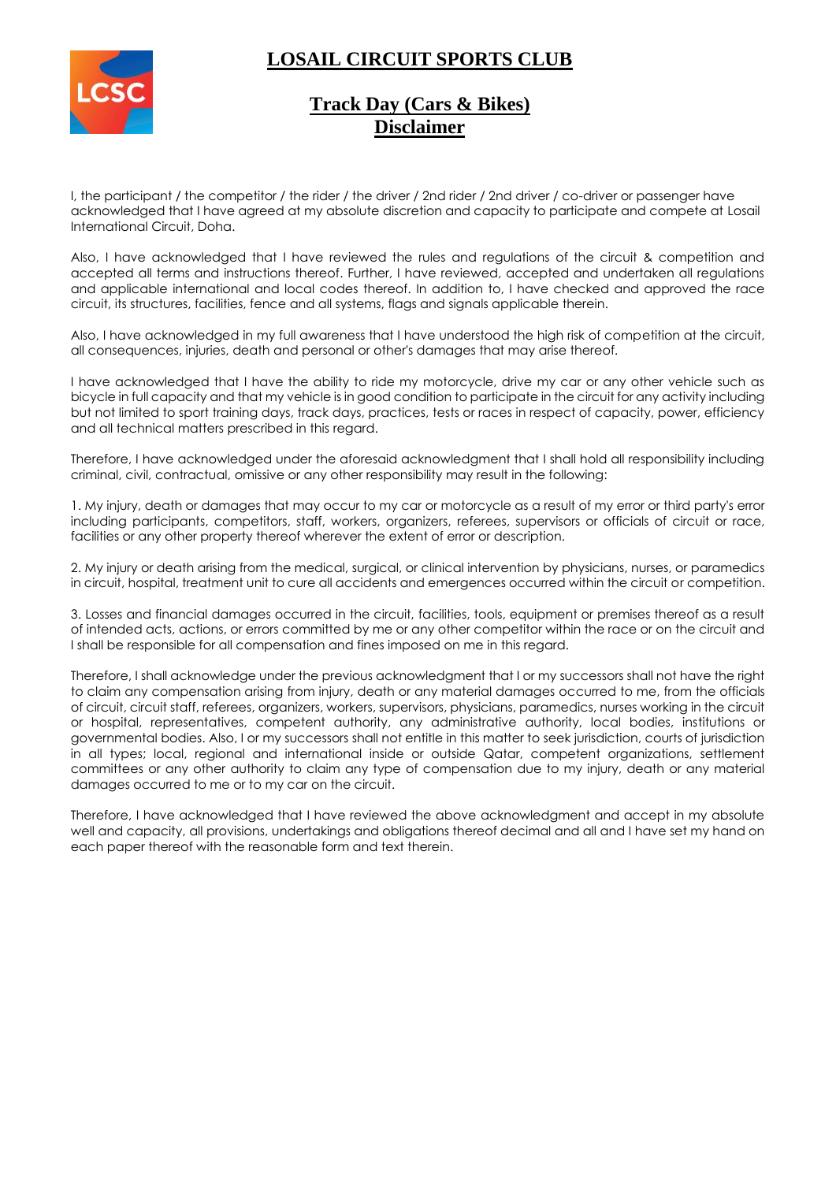# 

## **LOSAIL CIRCUIT SPORTS CLUB**

### **Track Day (Cars & Bikes) Disclaimer**

I, the participant / the competitor / the rider / the driver / 2nd rider / 2nd driver / co-driver or passenger have acknowledged that I have agreed at my absolute discretion and capacity to participate and compete at Losail International Circuit, Doha.

Also, I have acknowledged that I have reviewed the rules and regulations of the circuit & competition and accepted all terms and instructions thereof. Further, I have reviewed, accepted and undertaken all regulations and applicable international and local codes thereof. In addition to, I have checked and approved the race circuit, its structures, facilities, fence and all systems, flags and signals applicable therein.

Also, I have acknowledged in my full awareness that I have understood the high risk of competition at the circuit, all consequences, injuries, death and personal or other's damages that may arise thereof.

I have acknowledged that I have the ability to ride my motorcycle, drive my car or any other vehicle such as bicycle in full capacity and that my vehicle is in good condition to participate in the circuit for any activity including but not limited to sport training days, track days, practices, tests or races in respect of capacity, power, efficiency and all technical matters prescribed in this regard.

Therefore, I have acknowledged under the aforesaid acknowledgment that I shall hold all responsibility including criminal, civil, contractual, omissive or any other responsibility may result in the following:

1. My injury, death or damages that may occur to my car or motorcycle as a result of my error or third party's error including participants, competitors, staff, workers, organizers, referees, supervisors or officials of circuit or race, facilities or any other property thereof wherever the extent of error or description.

2. My injury or death arising from the medical, surgical, or clinical intervention by physicians, nurses, or paramedics in circuit, hospital, treatment unit to cure all accidents and emergences occurred within the circuit or competition.

3. Losses and financial damages occurred in the circuit, facilities, tools, equipment or premises thereof as a result of intended acts, actions, or errors committed by me or any other competitor within the race or on the circuit and I shall be responsible for all compensation and fines imposed on me in this regard.

Therefore, I shall acknowledge under the previous acknowledgment that I or my successors shall not have the right to claim any compensation arising from injury, death or any material damages occurred to me, from the officials of circuit, circuit staff, referees, organizers, workers, supervisors, physicians, paramedics, nurses working in the circuit or hospital, representatives, competent authority, any administrative authority, local bodies, institutions or governmental bodies. Also, I or my successors shall not entitle in this matter to seek jurisdiction, courts of jurisdiction in all types; local, regional and international inside or outside Qatar, competent organizations, settlement committees or any other authority to claim any type of compensation due to my injury, death or any material damages occurred to me or to my car on the circuit.

Therefore, I have acknowledged that I have reviewed the above acknowledgment and accept in my absolute well and capacity, all provisions, undertakings and obligations thereof decimal and all and I have set my hand on each paper thereof with the reasonable form and text therein.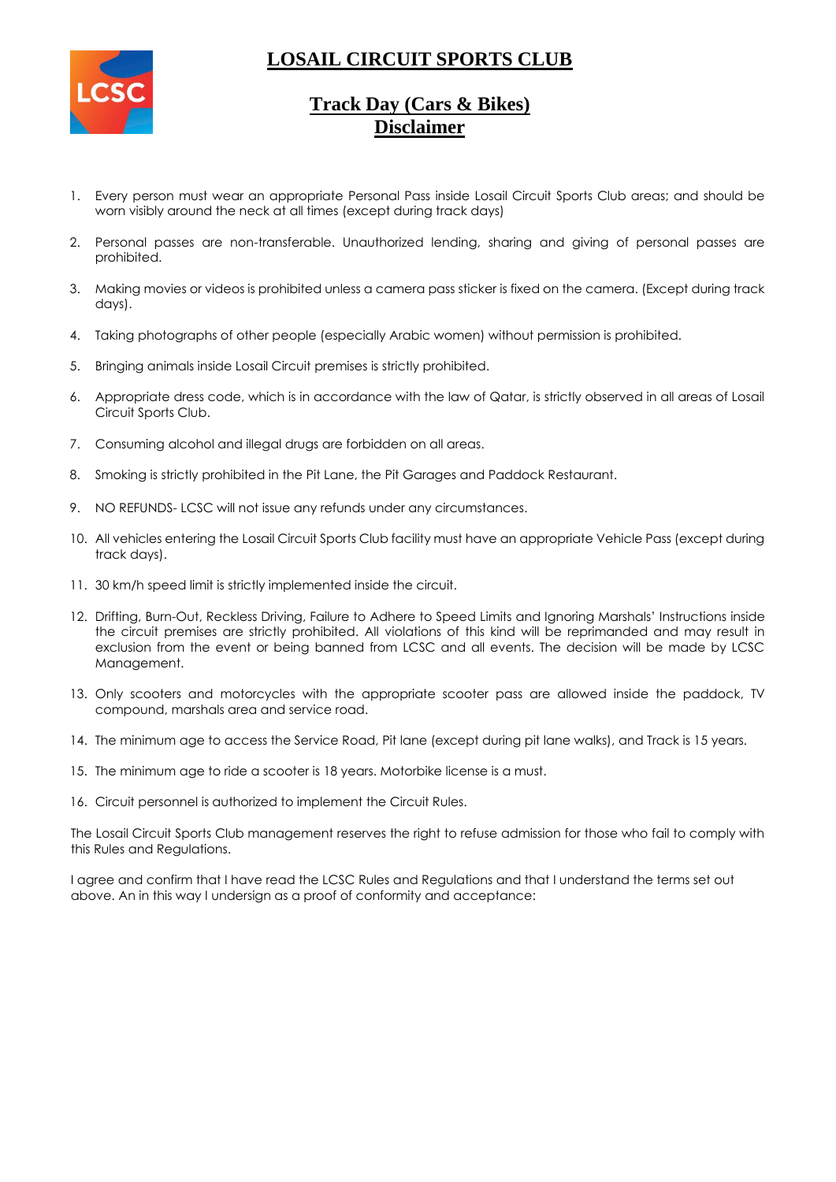

# **LOSAIL CIRCUIT SPORTS CLUB**

## **Track Day (Cars & Bikes) Disclaimer**

- 1. Every person must wear an appropriate Personal Pass inside Losail Circuit Sports Club areas; and should be worn visibly around the neck at all times (except during track days)
- 2. Personal passes are non-transferable. Unauthorized lending, sharing and giving of personal passes are prohibited.
- 3. Making movies or videos is prohibited unless a camera pass sticker is fixed on the camera. (Except during track days).
- 4. Taking photographs of other people (especially Arabic women) without permission is prohibited.
- 5. Bringing animals inside Losail Circuit premises is strictly prohibited.
- 6. Appropriate dress code, which is in accordance with the law of Qatar, is strictly observed in all areas of Losail Circuit Sports Club.
- 7. Consuming alcohol and illegal drugs are forbidden on all areas.
- 8. Smoking is strictly prohibited in the Pit Lane, the Pit Garages and Paddock Restaurant.
- 9. NO REFUNDS- LCSC will not issue any refunds under any circumstances.
- 10. All vehicles entering the Losail Circuit Sports Club facility must have an appropriate Vehicle Pass (except during track days).
- 11. 30 km/h speed limit is strictly implemented inside the circuit.
- 12. Drifting, Burn-Out, Reckless Driving, Failure to Adhere to Speed Limits and Ignoring Marshals' Instructions inside the circuit premises are strictly prohibited. All violations of this kind will be reprimanded and may result in exclusion from the event or being banned from LCSC and all events. The decision will be made by LCSC Management.
- 13. Only scooters and motorcycles with the appropriate scooter pass are allowed inside the paddock, TV compound, marshals area and service road.
- 14. The minimum age to access the Service Road, Pit lane (except during pit lane walks), and Track is 15 years.
- 15. The minimum age to ride a scooter is 18 years. Motorbike license is a must.
- 16. Circuit personnel is authorized to implement the Circuit Rules.

The Losail Circuit Sports Club management reserves the right to refuse admission for those who fail to comply with this Rules and Regulations.

I agree and confirm that I have read the LCSC Rules and Regulations and that I understand the terms set out above. An in this way I undersign as a proof of conformity and acceptance: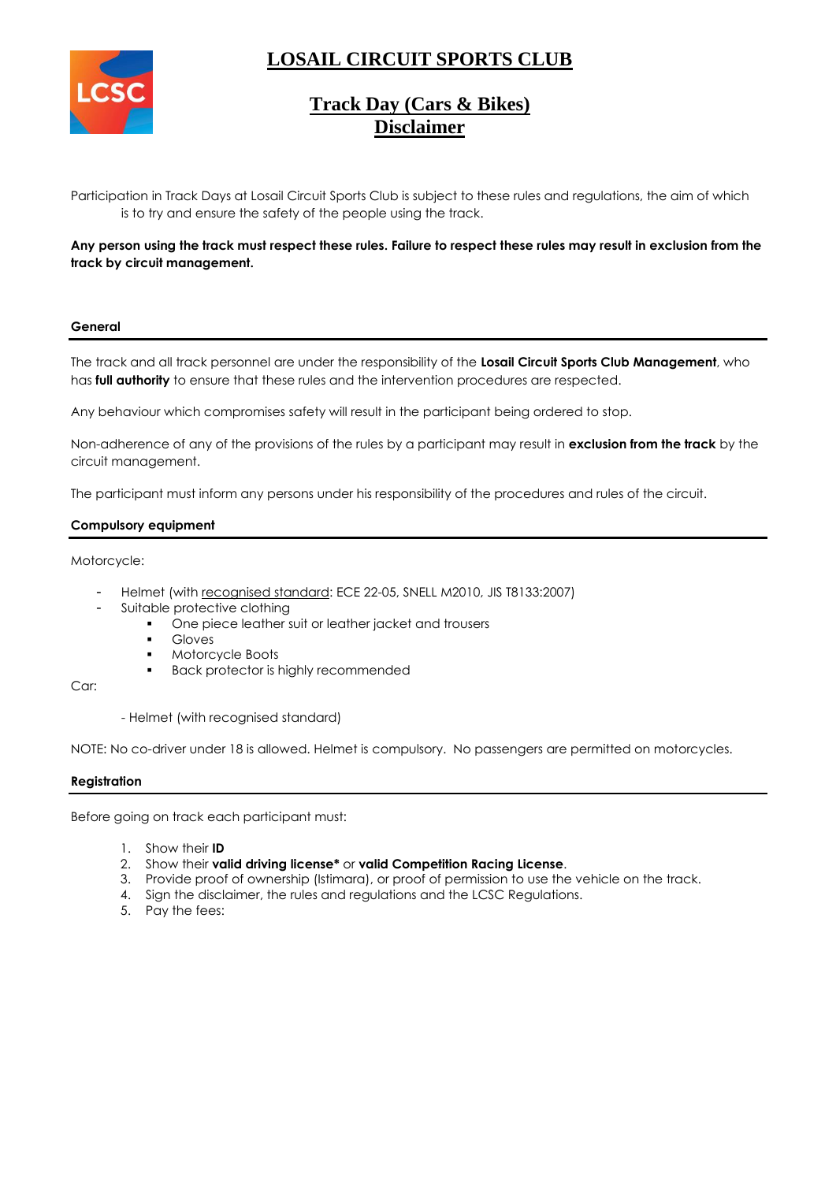# **LOSAIL CIRCUIT SPORTS CLUB**



## **Track Day (Cars & Bikes) Disclaimer**

Participation in Track Days at Losail Circuit Sports Club is subject to these rules and regulations, the aim of which is to try and ensure the safety of the people using the track.

**Any person using the track must respect these rules. Failure to respect these rules may result in exclusion from the track by circuit management.**

#### **General**

The track and all track personnel are under the responsibility of the **Losail Circuit Sports Club Management**, who has **full authority** to ensure that these rules and the intervention procedures are respected.

Any behaviour which compromises safety will result in the participant being ordered to stop.

Non-adherence of any of the provisions of the rules by a participant may result in **exclusion from the track** by the circuit management.

The participant must inform any persons under his responsibility of the procedures and rules of the circuit.

#### **Compulsory equipment**

Motorcycle:

- Helmet (with recognised standard: ECE 22-05, SNELL M2010, JIS T8133:2007)
- Suitable protective clothing
	- One piece leather suit or leather jacket and trousers
	- **Gloves**
	- Motorcycle Boots
	- **Back protector is highly recommended**

Car:

- Helmet (with recognised standard)

NOTE: No co-driver under 18 is allowed. Helmet is compulsory. No passengers are permitted on motorcycles.

#### **Registration**

Before going on track each participant must:

- 1. Show their **ID**
- 2. Show their **valid driving license\*** or **valid Competition Racing License**.
- 3. Provide proof of ownership (Istimara), or proof of permission to use the vehicle on the track.
- 4. Sign the disclaimer, the rules and regulations and the LCSC Regulations.
- 5. Pay the fees: